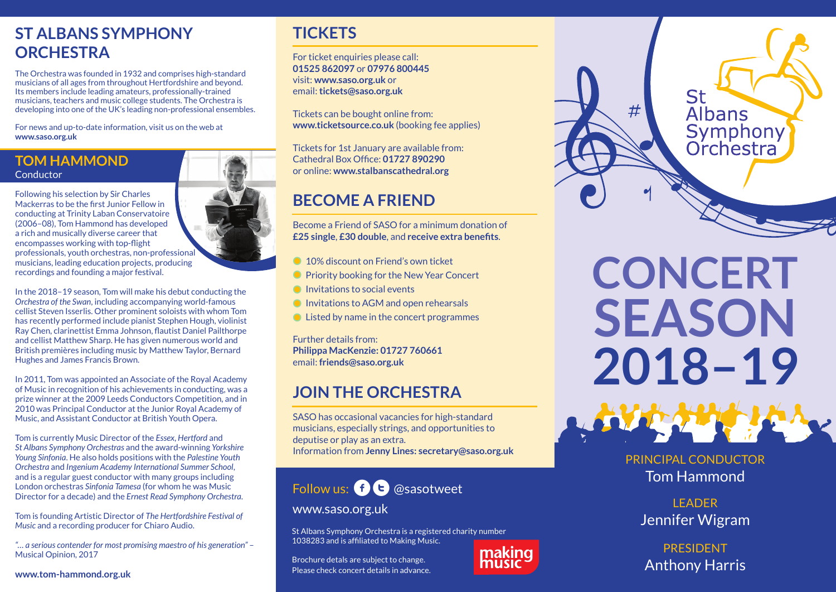# **ST ALBANS SYMPHONY ORCHESTRA**

The Orchestra was founded in 1932 and comprises high-standard musicians of all ages from throughout Hertfordshire and beyond. Its members include leading amateurs, professionally-trained musicians, teachers and music college students. The Orchestra is developing into one of the UK's leading non-professional ensembles.

For news and up-to-date information, visit us on the web at **www.saso.org.uk**

### **TOM HAMMOND Conductor**

Following his selection by Sir Charles Mackerras to be the first Junior Fellow in conducting at Trinity Laban Conservatoire (2006–08), Tom Hammond has developed a rich and musically diverse career that encompasses working with top-flight professionals, youth orchestras, non-professional musicians, leading education projects, producing recordings and founding a major festival.

In the 2018–19 season, Tom will make his debut conducting the *Orchestra of the Swan*, including accompanying world-famous cellist Steven Isserlis. Other prominent soloists with whom Tom has recently performed include pianist Stephen Hough, violinist Ray Chen, clarinettist Emma Johnson, flautist Daniel Pailthorpe and cellist Matthew Sharp. He has given numerous world and British premières including music by Matthew Taylor, Bernard Hughes and James Francis Brown.

In 2011, Tom was appointed an Associate of the Royal Academy of Music in recognition of his achievements in conducting, was a prize winner at the 2009 Leeds Conductors Competition, and in 2010 was Principal Conductor at the Junior Royal Academy of Music, and Assistant Conductor at British Youth Opera.

Tom is currently Music Director of the *Essex*, *Hertford* and *St Albans Symphony Orchestras* and the award-winning *Yorkshire Young Sinfonia*. He also holds positions with the *Palestine Youth Orchestra* and *Ingenium Academy International Summer School*, and is a regular guest conductor with many groups including London orchestras *Sinfonia Tamesa* (for whom he was Music Director for a decade) and the *Ernest Read Symphony Orchestra*.

Tom is founding Artistic Director of *The Hertfordshire Festival of Music* and a recording producer for Chiaro Audio.

*"… a serious contender for most promising maestro of his generation"* – Musical Opinion, 2017

**www.tom-hammond.org.uk**

## **TICKETS**

For ticket enquiries please call: **01525 862097** or **07976 800445** visit: **www.saso.org.uk** or email: **tickets@saso.org.uk**

Tickets can be bought online from: **www.ticketsource.co.uk** (booking fee applies)

Tickets for 1st January are available from: Cathedral Box Office: **01727 890290**  or online: **www.stalbanscathedral.org**

# **BECOME A FRIEND**

Become a Friend of SASO for a minimum donation of **£25 single**, **£30 double**, and **receive extra benefits**.

- <sup>10</sup>% discount on Friend's own ticket
- **Priority booking for the New Year Concert**
- $\bullet$  Invitations to social events
- Invitations to AGM and open rehearsals
- Listed by name in the concert programmes

Further details from: **Philippa MacKenzie: 01727 760661** email: **friends@saso.org.uk**

# **JOIN THE ORCHESTRA**

SASO has occasional vacancies for high-standard musicians, especially strings, and opportunities to deputise or play as an extra. Information from **Jenny Lines: secretary@saso.org.uk**

# Follow us:  $\mathbf{f}$   $\mathbf{E}$  @sasotweet

### www.saso.org.uk

St Albans Symphony Orchestra is a registered charity number 1038283 and is affiliated to Making Music.

Brochure detals are subject to change. Please check concert details in advance.



making music

**LEADER** Jennifer Wigram

PRESIDENT Anthony Harris

St  $#$ **Albans** Symphony<br>Orchestra

**CONCERT**

**SEASON**

**2018–19**